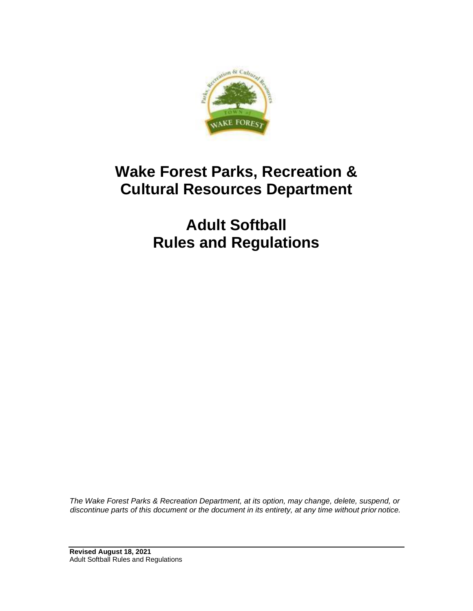

# **Wake Forest Parks, Recreation & Cultural Resources Department**

**Adult Softball Rules and Regulations**

*The Wake Forest Parks & Recreation Department, at its option, may change, delete, suspend, or discontinue parts of this document or the document in its entirety, at any time without prior notice.*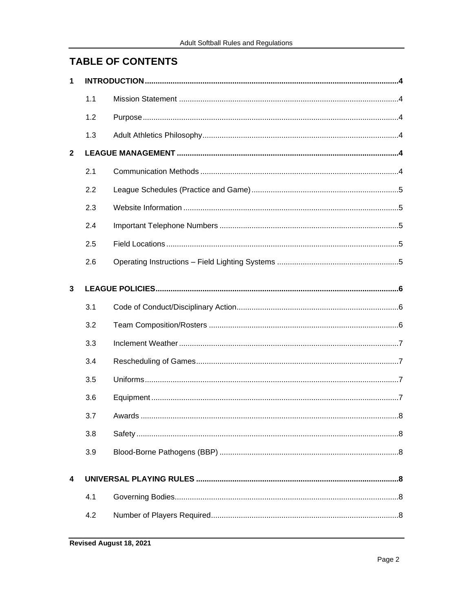# **TABLE OF CONTENTS**

| $\mathbf{1}$            |     |  |  |
|-------------------------|-----|--|--|
|                         | 1.1 |  |  |
|                         | 1.2 |  |  |
|                         | 1.3 |  |  |
| $\mathbf{2}$            |     |  |  |
|                         | 2.1 |  |  |
|                         | 2.2 |  |  |
|                         | 2.3 |  |  |
|                         | 2.4 |  |  |
|                         | 2.5 |  |  |
|                         | 2.6 |  |  |
| 3                       |     |  |  |
|                         | 3.1 |  |  |
|                         | 3.2 |  |  |
|                         | 3.3 |  |  |
|                         | 3.4 |  |  |
|                         | 3.5 |  |  |
|                         | 3.6 |  |  |
|                         | 3.7 |  |  |
|                         | 3.8 |  |  |
|                         | 3.9 |  |  |
| $\overline{\mathbf{4}}$ |     |  |  |
|                         | 4.1 |  |  |
|                         | 4.2 |  |  |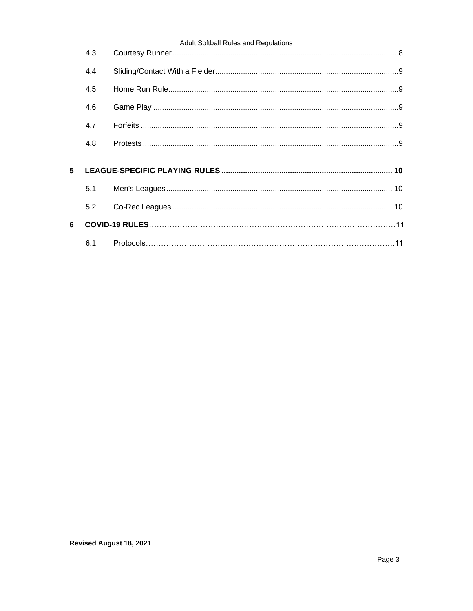|   | 4.3 |  |
|---|-----|--|
|   | 4.4 |  |
|   | 4.5 |  |
|   | 4.6 |  |
|   | 4.7 |  |
|   | 4.8 |  |
|   |     |  |
| 5 |     |  |
|   | 5.1 |  |
|   | 5.2 |  |
| 6 |     |  |
|   |     |  |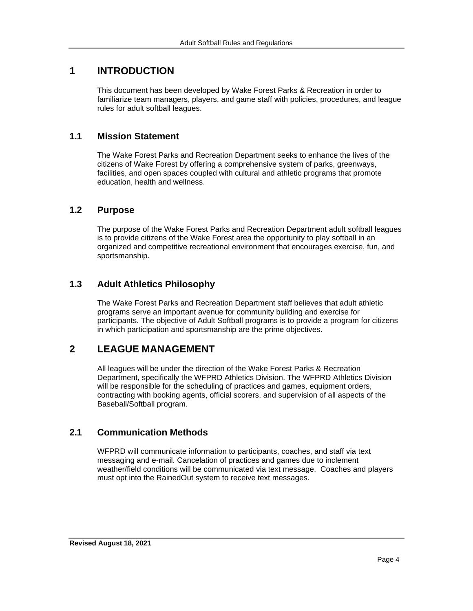## <span id="page-3-0"></span>**1 INTRODUCTION**

This document has been developed by Wake Forest Parks & Recreation in order to familiarize team managers, players, and game staff with policies, procedures, and league rules for adult softball leagues.

## <span id="page-3-1"></span>**1.1 Mission Statement**

The Wake Forest Parks and Recreation Department seeks to enhance the lives of the citizens of Wake Forest by offering a comprehensive system of parks, greenways, facilities, and open spaces coupled with cultural and athletic programs that promote education, health and wellness.

## <span id="page-3-2"></span>**1.2 Purpose**

The purpose of the Wake Forest Parks and Recreation Department adult softball leagues is to provide citizens of the Wake Forest area the opportunity to play softball in an organized and competitive recreational environment that encourages exercise, fun, and sportsmanship.

## <span id="page-3-3"></span>**1.3 Adult Athletics Philosophy**

The Wake Forest Parks and Recreation Department staff believes that adult athletic programs serve an important avenue for community building and exercise for participants. The objective of Adult Softball programs is to provide a program for citizens in which participation and sportsmanship are the prime objectives.

## <span id="page-3-4"></span>**2 LEAGUE MANAGEMENT**

All leagues will be under the direction of the Wake Forest Parks & Recreation Department, specifically the WFPRD Athletics Division. The WFPRD Athletics Division will be responsible for the scheduling of practices and games, equipment orders, contracting with booking agents, official scorers, and supervision of all aspects of the Baseball/Softball program.

## <span id="page-3-5"></span>**2.1 Communication Methods**

WFPRD will communicate information to participants, coaches, and staff via text messaging and e-mail. Cancelation of practices and games due to inclement weather/field conditions will be communicated via text message. Coaches and players must opt into the RainedOut system to receive text messages.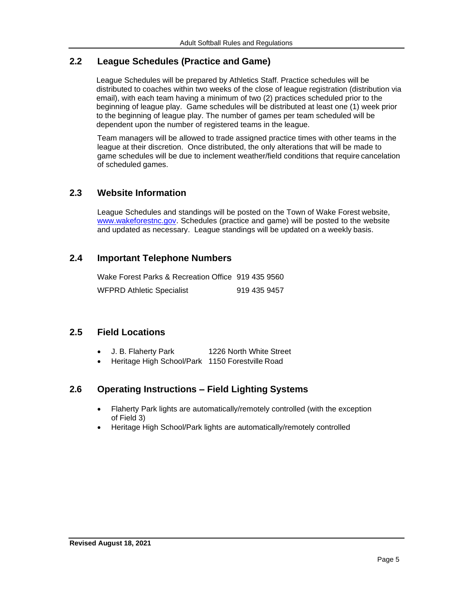## <span id="page-4-0"></span>**2.2 League Schedules (Practice and Game)**

League Schedules will be prepared by Athletics Staff. Practice schedules will be distributed to coaches within two weeks of the close of league registration (distribution via email), with each team having a minimum of two (2) practices scheduled prior to the beginning of league play. Game schedules will be distributed at least one (1) week prior to the beginning of league play. The number of games per team scheduled will be dependent upon the number of registered teams in the league.

Team managers will be allowed to trade assigned practice times with other teams in the league at their discretion. Once distributed, the only alterations that will be made to game schedules will be due to inclement weather/field conditions that require cancelation of scheduled games.

## <span id="page-4-1"></span>**2.3 Website Information**

League Schedules and standings will be posted on the Town of Wake Forest website, [www.wakeforestnc.gov.](http://www.wakeforestnc.gov/) Schedules (practice and game) will be posted to the website and updated as necessary. League standings will be updated on a weekly basis.

## **2.4 Important Telephone Numbers**

| Wake Forest Parks & Recreation Office 919 435 9560 |              |
|----------------------------------------------------|--------------|
| <b>WFPRD Athletic Specialist</b>                   | 919 435 9457 |

## **2.5 Field Locations**

- J. B. Flaherty Park 1226 North White Street
- Heritage High School/Park 1150 Forestville Road

## <span id="page-4-2"></span>**2.6 Operating Instructions – Field Lighting Systems**

- Flaherty Park lights are automatically/remotely controlled (with the exception of Field 3)
- Heritage High School/Park lights are automatically/remotely controlled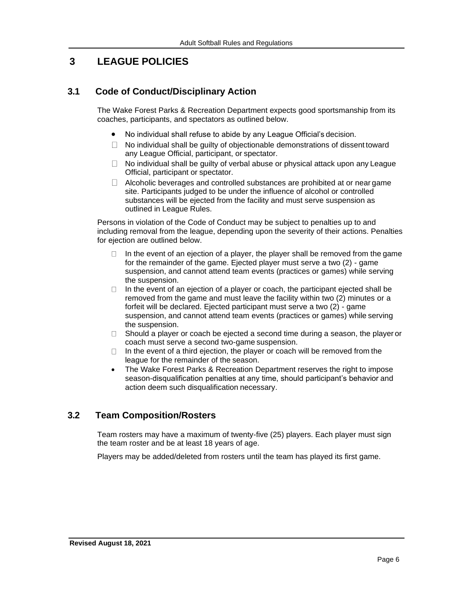## <span id="page-5-0"></span>**3 LEAGUE POLICIES**

## <span id="page-5-1"></span>**3.1 Code of Conduct/Disciplinary Action**

The Wake Forest Parks & Recreation Department expects good sportsmanship from its coaches, participants, and spectators as outlined below.

- No individual shall refuse to abide by any League Official's decision.
- $\Box$  No individual shall be quilty of objectionable demonstrations of dissent toward any League Official, participant, or spectator.
- $\Box$  No individual shall be guilty of verbal abuse or physical attack upon any League Official, participant or spectator.
- $\Box$  Alcoholic beverages and controlled substances are prohibited at or near game site. Participants judged to be under the influence of alcohol or controlled substances will be ejected from the facility and must serve suspension as outlined in League Rules.

Persons in violation of the Code of Conduct may be subject to penalties up to and including removal from the league, depending upon the severity of their actions. Penalties for ejection are outlined below.

- $\Box$  In the event of an ejection of a player, the player shall be removed from the game for the remainder of the game. Ejected player must serve a two (2) - game suspension, and cannot attend team events (practices or games) while serving the suspension.
- In the event of an ejection of a player or coach, the participant ejected shall be  $\Box$ removed from the game and must leave the facility within two (2) minutes or a forfeit will be declared. Ejected participant must serve a two (2) - game suspension, and cannot attend team events (practices or games) while serving the suspension.
- Should a player or coach be ejected a second time during a season, the player or  $\Box$ coach must serve a second two-game suspension.
- In the event of a third ejection, the player or coach will be removed from the  $\Box$ league for the remainder of the season.
- The Wake Forest Parks & Recreation Department reserves the right to impose season-disqualification penalties at any time, should participant's behavior and action deem such disqualification necessary.

## <span id="page-5-2"></span>**3.2 Team Composition/Rosters**

Team rosters may have a maximum of twenty-five (25) players. Each player must sign the team roster and be at least 18 years of age.

Players may be added/deleted from rosters until the team has played its first game.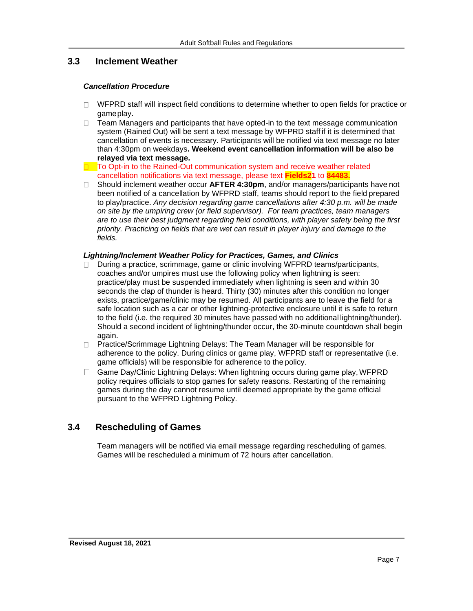## <span id="page-6-0"></span>**3.3 Inclement Weather**

#### <span id="page-6-2"></span>*Cancellation Procedure*

- $\Box$  WFPRD staff will inspect field conditions to determine whether to open fields for practice or gameplay.
- Team Managers and participants that have opted-in to the text message communication  $\Box$ system (Rained Out) will be sent a text message by WFPRD staff if it is determined that cancellation of events is necessary. Participants will be notified via text message no later than 4:30pm on weekdays**. Weekend event cancellation information will be also be relayed via text message.**
- $\Box$  To Opt-in to the Rained-Out communication system and receive weather related cancellation notifications via text message, please text **Fields21** to **84483.**
- Should inclement weather occur **AFTER 4:30pm**, and/or managers/participants have not been notified of a cancellation by WFPRD staff, teams should report to the field prepared to play/practice. *Any decision regarding game cancellations after 4:30 p.m. will be made on site by the umpiring crew (or field supervisor). For team practices, team managers are to use their best judgment regarding field conditions, with player safety being the first priority. Practicing on fields that are wet can result in player injury and damage to the fields.*

#### *Lightning/Inclement Weather Policy for Practices, Games, and Clinics*

- $\Box$  During a practice, scrimmage, game or clinic involving WFPRD teams/participants, coaches and/or umpires must use the following policy when lightning is seen: practice/play must be suspended immediately when lightning is seen and within 30 seconds the clap of thunder is heard. Thirty (30) minutes after this condition no longer exists, practice/game/clinic may be resumed. All participants are to leave the field for a safe location such as a car or other lightning-protective enclosure until it is safe to return to the field (i.e. the required 30 minutes have passed with no additional lightning/thunder). Should a second incident of lightning/thunder occur, the 30-minute countdown shall begin again.
- □ Practice/Scrimmage Lightning Delays: The Team Manager will be responsible for adherence to the policy. During clinics or game play, WFPRD staff or representative (i.e. game officials) will be responsible for adherence to the policy.
- $\Box$  Game Day/Clinic Lightning Delays: When lightning occurs during game play, WFPRD policy requires officials to stop games for safety reasons. Restarting of the remaining games during the day cannot resume until deemed appropriate by the game official pursuant to the WFPRD Lightning Policy.

## <span id="page-6-1"></span>**3.4 Rescheduling of Games**

Team managers will be notified via email message regarding rescheduling of games. Games will be rescheduled a minimum of 72 hours after cancellation.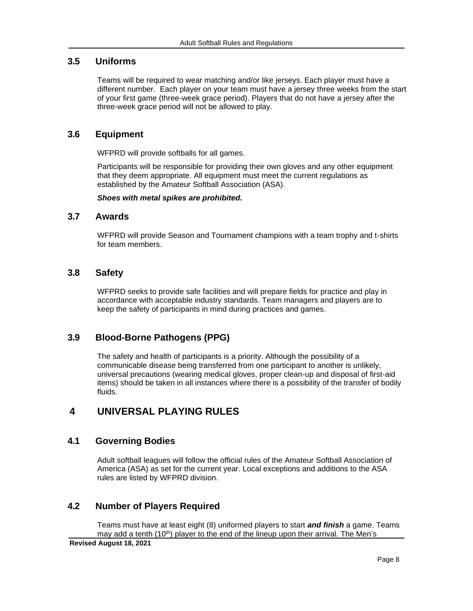## <span id="page-7-0"></span>**3.5 Uniforms**

Teams will be required to wear matching and/or like jerseys. Each player must have a different number. Each player on your team must have a jersey three weeks from the start of your first game (three-week grace period). Players that do not have a jersey after the three-week grace period will not be allowed to play.

## <span id="page-7-1"></span>**3.6 Equipment**

WFPRD will provide softballs for all games.

Participants will be responsible for providing their own gloves and any other equipment that they deem appropriate. All equipment must meet the current regulations as established by the Amateur Softball Association (ASA).

*Shoes with metal spikes are prohibited.*

#### <span id="page-7-2"></span>**3.7 Awards**

WFPRD will provide Season and Tournament champions with a team trophy and t-shirts for team members.

#### <span id="page-7-3"></span>**3.8 Safety**

WFPRD seeks to provide safe facilities and will prepare fields for practice and play in accordance with acceptable industry standards. Team managers and players are to keep the safety of participants in mind during practices and games.

#### **3.9 Blood-Borne Pathogens (PPG)**

The safety and health of participants is a priority. Although the possibility of a communicable disease being transferred from one participant to another is unlikely, universal precautions (wearing medical gloves, proper clean-up and disposal of first-aid items) should be taken in all instances where there is a possibility of the transfer of bodily fluids.

## <span id="page-7-4"></span>**4 UNIVERSAL PLAYING RULES**

#### <span id="page-7-5"></span>**4.1 Governing Bodies**

Adult softball leagues will follow the official rules of the Amateur Softball Association of America (ASA) as set for the current year. Local exceptions and additions to the ASA rules are listed by WFPRD division.

## <span id="page-7-6"></span>**4.2 Number of Players Required**

Teams must have at least eight (8) uniformed players to start *and finish* a game. Teams may add a tenth (10<sup>th</sup>) player to the end of the lineup upon their arrival. The Men's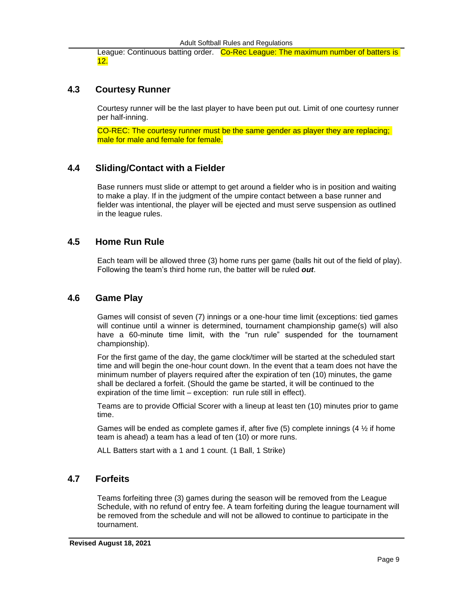League: Continuous batting order. Co-Rec League: The maximum number of batters is 12.

#### <span id="page-8-0"></span>**4.3 Courtesy Runner**

Courtesy runner will be the last player to have been put out. Limit of one courtesy runner per half-inning.

CO-REC: The courtesy runner must be the same gender as player they are replacing; male for male and female for female.

#### <span id="page-8-1"></span>**4.4 Sliding/Contact with a Fielder**

Base runners must slide or attempt to get around a fielder who is in position and waiting to make a play. If in the judgment of the umpire contact between a base runner and fielder was intentional, the player will be ejected and must serve suspension as outlined in the league rules.

#### <span id="page-8-2"></span>**4.5 Home Run Rule**

Each team will be allowed three (3) home runs per game (balls hit out of the field of play). Following the team's third home run, the batter will be ruled *out*.

#### <span id="page-8-3"></span>**4.6 Game Play**

Games will consist of seven (7) innings or a one-hour time limit (exceptions: tied games will continue until a winner is determined, tournament championship game(s) will also have a 60-minute time limit, with the "run rule" suspended for the tournament championship).

For the first game of the day, the game clock/timer will be started at the scheduled start time and will begin the one-hour count down. In the event that a team does not have the minimum number of players required after the expiration of ten (10) minutes, the game shall be declared a forfeit. (Should the game be started, it will be continued to the expiration of the time limit – exception: run rule still in effect).

Teams are to provide Official Scorer with a lineup at least ten (10) minutes prior to game time.

Games will be ended as complete games if, after five  $(5)$  complete innings  $(4 \frac{1}{2})$  if home team is ahead) a team has a lead of ten (10) or more runs.

ALL Batters start with a 1 and 1 count. (1 Ball, 1 Strike)

#### <span id="page-8-4"></span>**4.7 Forfeits**

Teams forfeiting three (3) games during the season will be removed from the League Schedule, with no refund of entry fee. A team forfeiting during the league tournament will be removed from the schedule and will not be allowed to continue to participate in the tournament.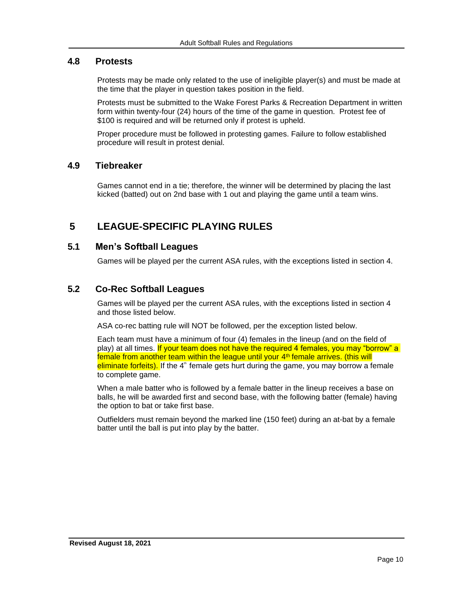#### <span id="page-9-0"></span>**4.8 Protests**

Protests may be made only related to the use of ineligible player(s) and must be made at the time that the player in question takes position in the field.

Protests must be submitted to the Wake Forest Parks & Recreation Department in written form within twenty-four (24) hours of the time of the game in question. Protest fee of \$100 is required and will be returned only if protest is upheld.

Proper procedure must be followed in protesting games. Failure to follow established procedure will result in protest denial.

#### **4.9 Tiebreaker**

Games cannot end in a tie; therefore, the winner will be determined by placing the last kicked (batted) out on 2nd base with 1 out and playing the game until a team wins.

## <span id="page-9-1"></span>**5 LEAGUE-SPECIFIC PLAYING RULES**

#### **5.1 Men's Softball Leagues**

Games will be played per the current ASA rules, with the exceptions listed in section 4.

## **5.2 Co-Rec Softball Leagues**

Games will be played per the current ASA rules, with the exceptions listed in section 4 and those listed below.

ASA co-rec batting rule will NOT be followed, per the exception listed below.

Each team must have a minimum of four (4) females in the lineup (and on the field of play) at all times. If your team does not have the required 4 females, you may "borrow" a female from another team within the league until your 4<sup>th</sup> female arrives. (this will eliminate forfeits). If the 4<sup>th</sup> female gets hurt during the game, you may borrow a female to complete game.

When a male batter who is followed by a female batter in the lineup receives a base on balls, he will be awarded first and second base, with the following batter (female) having the option to bat or take first base.

Outfielders must remain beyond the marked line (150 feet) during an at-bat by a female batter until the ball is put into play by the batter.